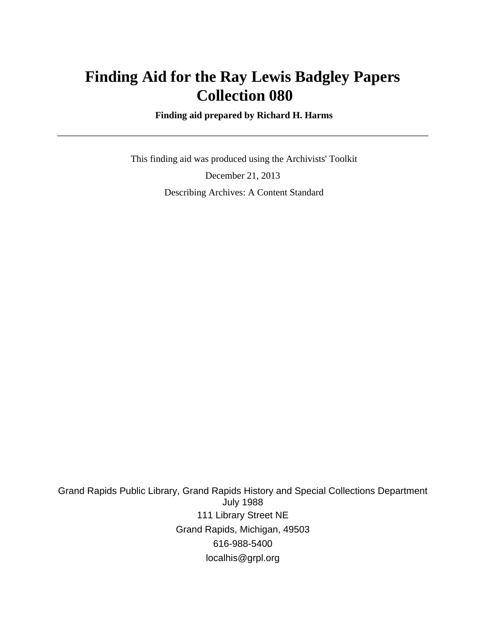# **Finding Aid for the Ray Lewis Badgley Papers Collection 080**

 **Finding aid prepared by Richard H. Harms**

 This finding aid was produced using the Archivists' Toolkit December 21, 2013 Describing Archives: A Content Standard

Grand Rapids Public Library, Grand Rapids History and Special Collections Department July 1988 111 Library Street NE Grand Rapids, Michigan, 49503 616-988-5400 localhis@grpl.org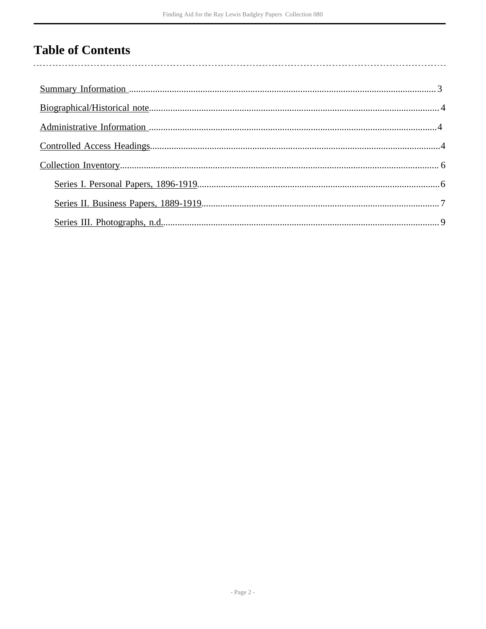# **Table of Contents**

 $\overline{\phantom{a}}$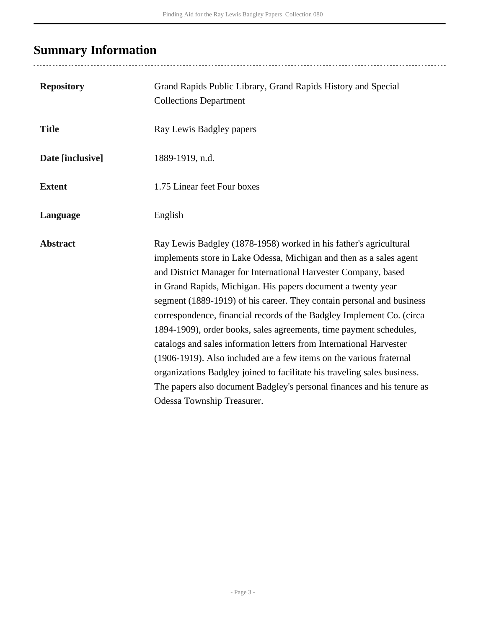# <span id="page-2-0"></span>**Summary Information**

| <b>Repository</b> | Grand Rapids Public Library, Grand Rapids History and Special<br><b>Collections Department</b>                                                                                                                                                                                                                                                                                                                                                                                                                                                                                                                                                                                                                                                                                                                                        |
|-------------------|---------------------------------------------------------------------------------------------------------------------------------------------------------------------------------------------------------------------------------------------------------------------------------------------------------------------------------------------------------------------------------------------------------------------------------------------------------------------------------------------------------------------------------------------------------------------------------------------------------------------------------------------------------------------------------------------------------------------------------------------------------------------------------------------------------------------------------------|
| <b>Title</b>      | Ray Lewis Badgley papers                                                                                                                                                                                                                                                                                                                                                                                                                                                                                                                                                                                                                                                                                                                                                                                                              |
| Date [inclusive]  | 1889-1919, n.d.                                                                                                                                                                                                                                                                                                                                                                                                                                                                                                                                                                                                                                                                                                                                                                                                                       |
| <b>Extent</b>     | 1.75 Linear feet Four boxes                                                                                                                                                                                                                                                                                                                                                                                                                                                                                                                                                                                                                                                                                                                                                                                                           |
| Language          | English                                                                                                                                                                                                                                                                                                                                                                                                                                                                                                                                                                                                                                                                                                                                                                                                                               |
| <b>Abstract</b>   | Ray Lewis Badgley (1878-1958) worked in his father's agricultural<br>implements store in Lake Odessa, Michigan and then as a sales agent<br>and District Manager for International Harvester Company, based<br>in Grand Rapids, Michigan. His papers document a twenty year<br>segment (1889-1919) of his career. They contain personal and business<br>correspondence, financial records of the Badgley Implement Co. (circa<br>1894-1909), order books, sales agreements, time payment schedules,<br>catalogs and sales information letters from International Harvester<br>(1906-1919). Also included are a few items on the various fraternal<br>organizations Badgley joined to facilitate his traveling sales business.<br>The papers also document Badgley's personal finances and his tenure as<br>Odessa Township Treasurer. |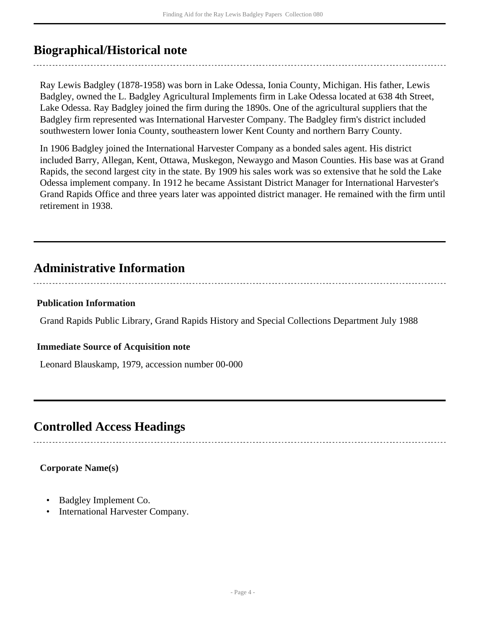## <span id="page-3-0"></span>**Biographical/Historical note**

Ray Lewis Badgley (1878-1958) was born in Lake Odessa, Ionia County, Michigan. His father, Lewis Badgley, owned the L. Badgley Agricultural Implements firm in Lake Odessa located at 638 4th Street, Lake Odessa. Ray Badgley joined the firm during the 1890s. One of the agricultural suppliers that the Badgley firm represented was International Harvester Company. The Badgley firm's district included southwestern lower Ionia County, southeastern lower Kent County and northern Barry County.

In 1906 Badgley joined the International Harvester Company as a bonded sales agent. His district included Barry, Allegan, Kent, Ottawa, Muskegon, Newaygo and Mason Counties. His base was at Grand Rapids, the second largest city in the state. By 1909 his sales work was so extensive that he sold the Lake Odessa implement company. In 1912 he became Assistant District Manager for International Harvester's Grand Rapids Office and three years later was appointed district manager. He remained with the firm until retirement in 1938.

## <span id="page-3-1"></span>**Administrative Information**

## **Publication Information**

Grand Rapids Public Library, Grand Rapids History and Special Collections Department July 1988

## **Immediate Source of Acquisition note**

Leonard Blauskamp, 1979, accession number 00-000

## <span id="page-3-2"></span>**Controlled Access Headings**

## **Corporate Name(s)**

- Badgley Implement Co.
- International Harvester Company.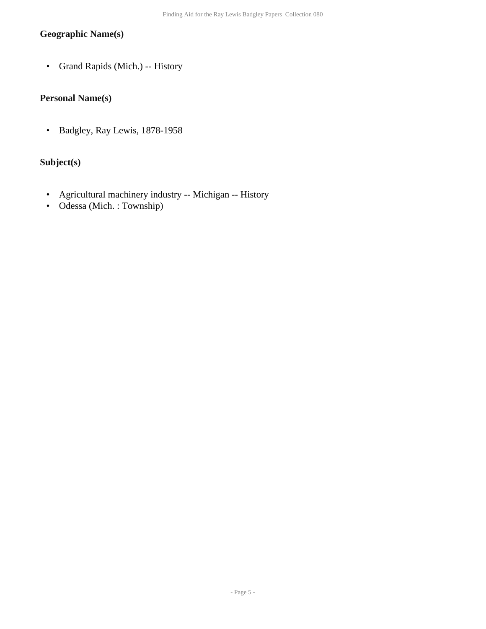## **Geographic Name(s)**

• Grand Rapids (Mich.) -- History

## **Personal Name(s)**

• Badgley, Ray Lewis, 1878-1958

## **Subject(s)**

- Agricultural machinery industry -- Michigan -- History
- Odessa (Mich. : Township)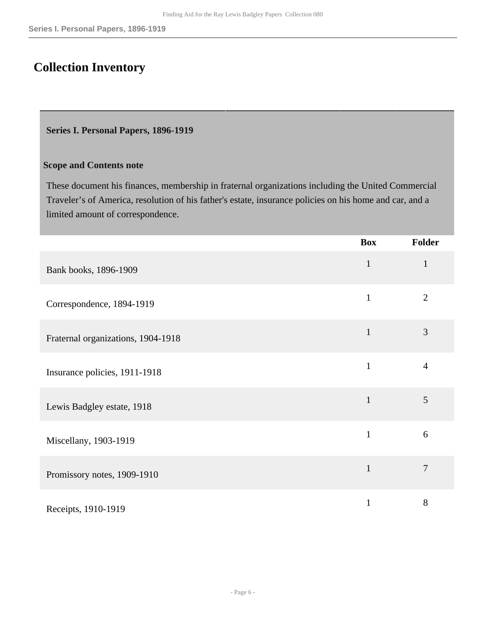## <span id="page-5-0"></span>**Collection Inventory**

#### <span id="page-5-1"></span>**Series I. Personal Papers, 1896-1919**

#### **Scope and Contents note**

These document his finances, membership in fraternal organizations including the United Commercial Traveler's of America, resolution of his father's estate, insurance policies on his home and car, and a limited amount of correspondence.

|                                    | <b>Box</b>   | Folder         |
|------------------------------------|--------------|----------------|
| Bank books, 1896-1909              | $\mathbf{1}$ | $\mathbf{1}$   |
| Correspondence, 1894-1919          | $\mathbf{1}$ | $\overline{2}$ |
| Fraternal organizations, 1904-1918 | $\mathbf{1}$ | 3              |
| Insurance policies, 1911-1918      | $\mathbf{1}$ | $\overline{4}$ |
| Lewis Badgley estate, 1918         | $\mathbf{1}$ | 5              |
| Miscellany, 1903-1919              | $\mathbf{1}$ | 6              |
| Promissory notes, 1909-1910        | $\mathbf{1}$ | $\overline{7}$ |
| Receipts, 1910-1919                | 1            | $8\,$          |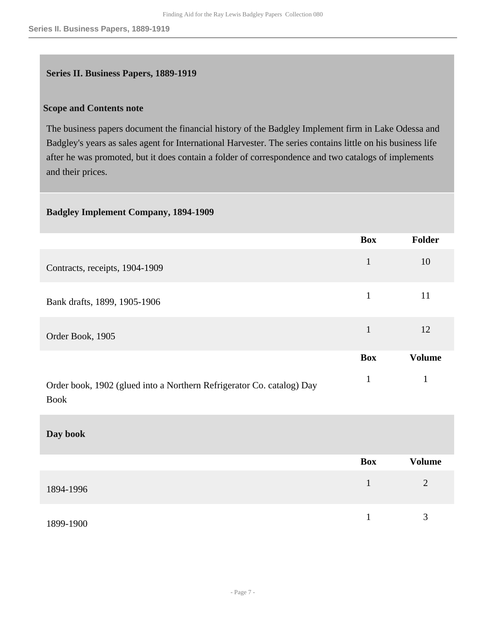## <span id="page-6-0"></span>**Series II. Business Papers, 1889-1919**

#### **Scope and Contents note**

The business papers document the financial history of the Badgley Implement firm in Lake Odessa and Badgley's years as sales agent for International Harvester. The series contains little on his business life after he was promoted, but it does contain a folder of correspondence and two catalogs of implements and their prices.

### **Badgley Implement Company, 1894-1909**

|                                                                                      | <b>Box</b>   | Folder        |
|--------------------------------------------------------------------------------------|--------------|---------------|
| Contracts, receipts, 1904-1909                                                       | $\mathbf{1}$ | 10            |
| Bank drafts, 1899, 1905-1906                                                         | $\mathbf{1}$ | 11            |
| Order Book, 1905                                                                     | 1            | 12            |
|                                                                                      | <b>Box</b>   | <b>Volume</b> |
| Order book, 1902 (glued into a Northern Refrigerator Co. catalog) Day<br><b>Book</b> | 1            |               |

#### **Day book**

|           | Box | <b>Volume</b>  |
|-----------|-----|----------------|
| 1894-1996 |     | $\overline{2}$ |
| 1899-1900 |     | 3              |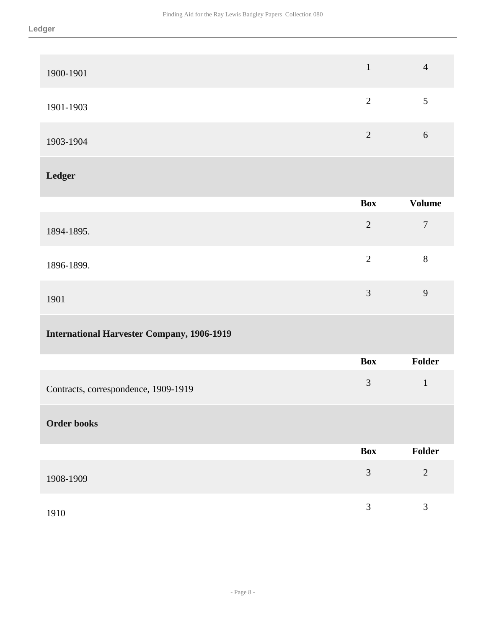| 1900-1901                                         | $\mathbf{1}$   | $\overline{4}$ |
|---------------------------------------------------|----------------|----------------|
| 1901-1903                                         | $\sqrt{2}$     | 5              |
| 1903-1904                                         | $\overline{2}$ | 6              |
| Ledger                                            |                |                |
|                                                   | <b>Box</b>     | <b>Volume</b>  |
| 1894-1895.                                        | $\sqrt{2}$     | $\overline{7}$ |
| 1896-1899.                                        | $\overline{2}$ | $8\,$          |
| 1901                                              | $\overline{3}$ | 9              |
| <b>International Harvester Company, 1906-1919</b> |                |                |
|                                                   | <b>Box</b>     | Folder         |
| Contracts, correspondence, 1909-1919              | $\mathfrak{Z}$ | $\mathbf{1}$   |
| <b>Order books</b>                                |                |                |
|                                                   | <b>Box</b>     | Folder         |
| 1908-1909                                         | $\mathfrak{Z}$ | $\sqrt{2}$     |
| 1910                                              | $\mathfrak{Z}$ | 3              |